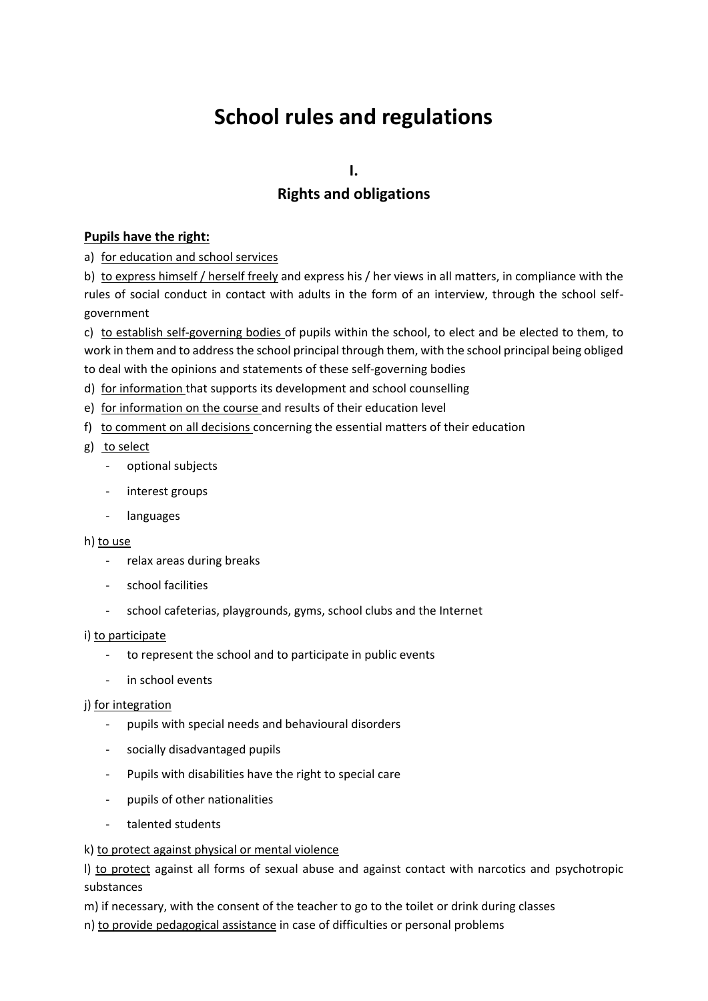# **School rules and regulations**

# **I.**

# **Rights and obligations**

#### **Pupils have the right:**

a) for education and school services

b) to express himself / herself freely and express his / her views in all matters, in compliance with the rules of social conduct in contact with adults in the form of an interview, through the school selfgovernment

c) to establish self-governing bodies of pupils within the school, to elect and be elected to them, to work in them and to address the school principal through them, with the school principal being obliged to deal with the opinions and statements of these self-governing bodies

d) for information that supports its development and school counselling

- e) for information on the course and results of their education level
- f) to comment on all decisions concerning the essential matters of their education

#### g) to select

- optional subjects
- interest groups
- languages

#### h) to use

- relax areas during breaks
- school facilities
- school cafeterias, playgrounds, gyms, school clubs and the Internet

#### i) to participate

- to represent the school and to participate in public events
- in school events

#### j) for integration

- pupils with special needs and behavioural disorders
- socially disadvantaged pupils
- Pupils with disabilities have the right to special care
- pupils of other nationalities
- talented students

#### k) to protect against physical or mental violence

l) to protect against all forms of sexual abuse and against contact with narcotics and psychotropic substances

m) if necessary, with the consent of the teacher to go to the toilet or drink during classes

n) to provide pedagogical assistance in case of difficulties or personal problems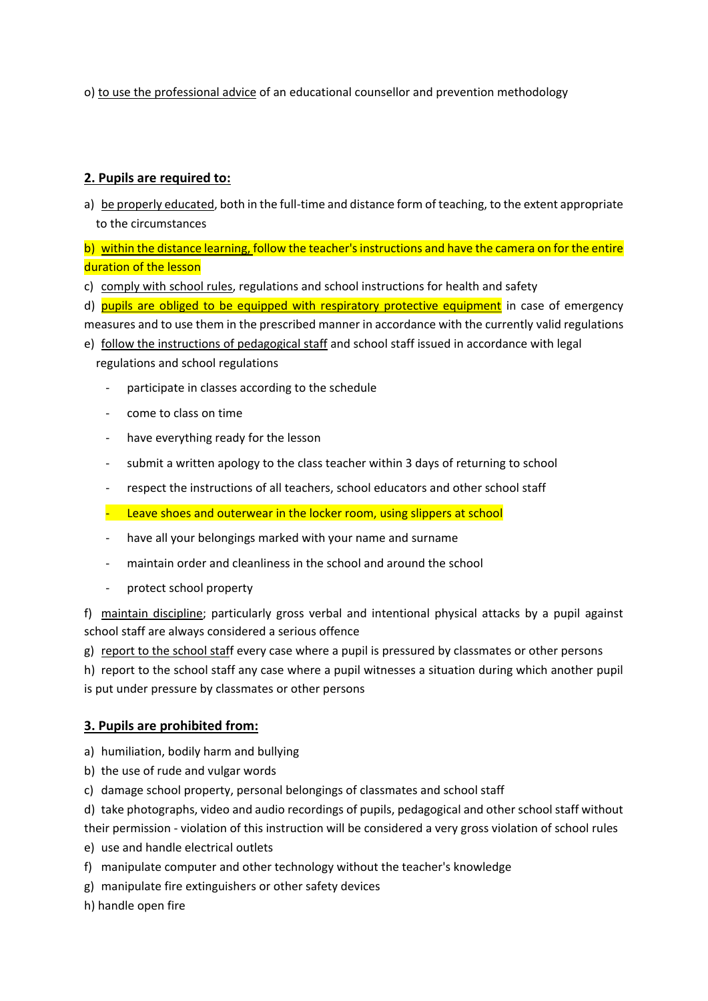o) to use the professional advice of an educational counsellor and prevention methodology

## **2. Pupils are required to:**

a) be properly educated, both in the full-time and distance form of teaching, to the extent appropriate to the circumstances

b) within the distance learning, follow the teacher's instructions and have the camera on for the entire duration of the lesson

c) comply with school rules, regulations and school instructions for health and safety

d) pupils are obliged to be equipped with respiratory protective equipment in case of emergency measures and to use them in the prescribed manner in accordance with the currently valid regulations

- e) follow the instructions of pedagogical staff and school staff issued in accordance with legal regulations and school regulations
	- participate in classes according to the schedule
	- come to class on time
	- have everything ready for the lesson
	- submit a written apology to the class teacher within 3 days of returning to school
	- respect the instructions of all teachers, school educators and other school staff
	- Leave shoes and outerwear in the locker room, using slippers at school
	- have all your belongings marked with your name and surname
	- maintain order and cleanliness in the school and around the school
	- protect school property

f) maintain discipline; particularly gross verbal and intentional physical attacks by a pupil against school staff are always considered a serious offence

g) report to the school staff every case where a pupil is pressured by classmates or other persons

h) report to the school staff any case where a pupil witnesses a situation during which another pupil is put under pressure by classmates or other persons

## **3. Pupils are prohibited from:**

- a) humiliation, bodily harm and bullying
- b) the use of rude and vulgar words
- c) damage school property, personal belongings of classmates and school staff
- d) take photographs, video and audio recordings of pupils, pedagogical and other school staff without

their permission - violation of this instruction will be considered a very gross violation of school rules

- e) use and handle electrical outlets
- f) manipulate computer and other technology without the teacher's knowledge
- g) manipulate fire extinguishers or other safety devices
- h) handle open fire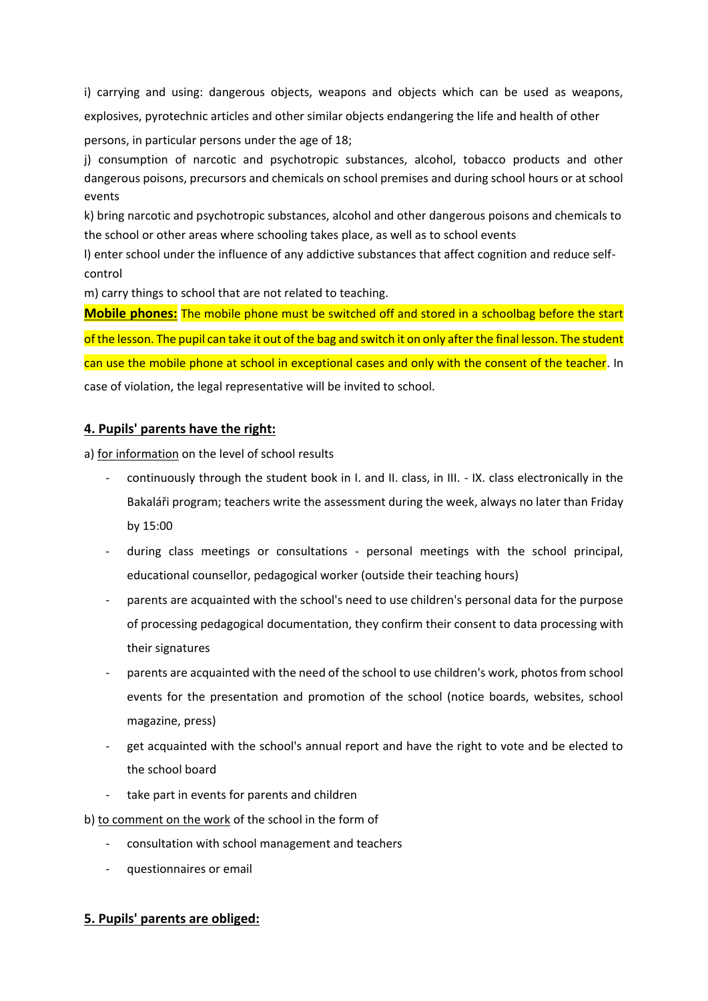i) carrying and using: dangerous objects, weapons and objects which can be used as weapons, explosives, pyrotechnic articles and other similar objects endangering the life and health of other

persons, in particular persons under the age of 18;

j) consumption of narcotic and psychotropic substances, alcohol, tobacco products and other dangerous poisons, precursors and chemicals on school premises and during school hours or at school events

k) bring narcotic and psychotropic substances, alcohol and other dangerous poisons and chemicals to the school or other areas where schooling takes place, as well as to school events

l) enter school under the influence of any addictive substances that affect cognition and reduce selfcontrol

m) carry things to school that are not related to teaching.

**Mobile phones:** The mobile phone must be switched off and stored in a schoolbag before the start of the lesson. The pupil can take it out of the bag and switch it on only after the final lesson. The student can use the mobile phone at school in exceptional cases and only with the consent of the teacher. In case of violation, the legal representative will be invited to school.

#### **4. Pupils' parents have the right:**

a) for information on the level of school results

- continuously through the student book in I. and II. class, in III. IX. class electronically in the Bakaláři program; teachers write the assessment during the week, always no later than Friday by 15:00
- during class meetings or consultations personal meetings with the school principal, educational counsellor, pedagogical worker (outside their teaching hours)
- parents are acquainted with the school's need to use children's personal data for the purpose of processing pedagogical documentation, they confirm their consent to data processing with their signatures
- parents are acquainted with the need of the school to use children's work, photos from school events for the presentation and promotion of the school (notice boards, websites, school magazine, press)
- get acquainted with the school's annual report and have the right to vote and be elected to the school board
- take part in events for parents and children

b) to comment on the work of the school in the form of

- consultation with school management and teachers
- questionnaires or email

#### **5. Pupils' parents are obliged:**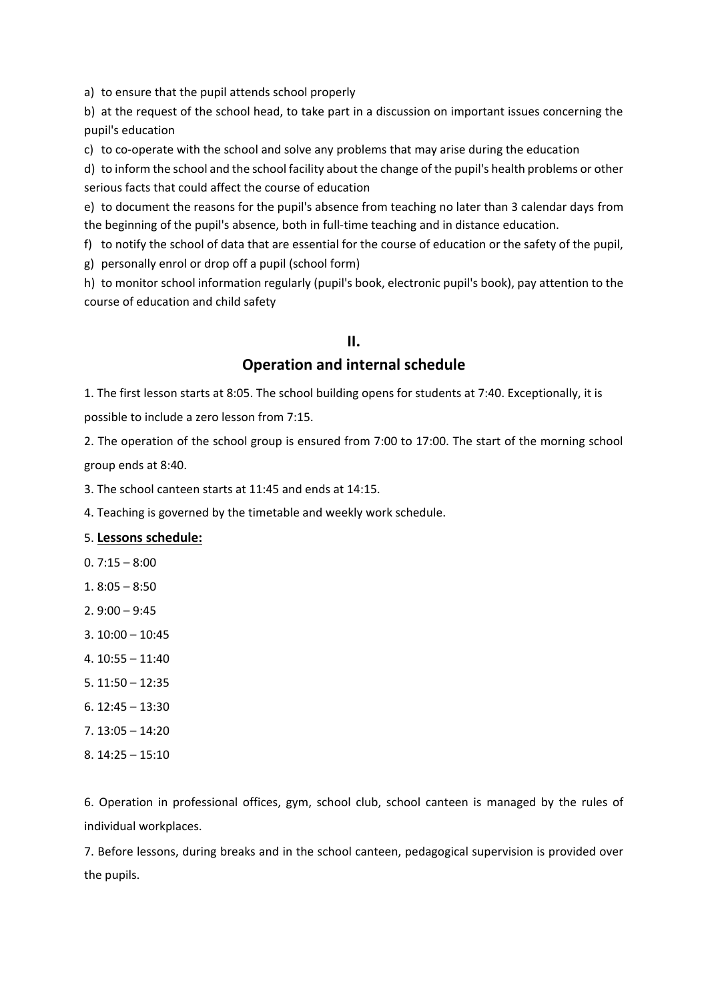a) to ensure that the pupil attends school properly

b) at the request of the school head, to take part in a discussion on important issues concerning the pupil's education

c) to co-operate with the school and solve any problems that may arise during the education

d) to inform the school and the school facility about the change of the pupil's health problems or other serious facts that could affect the course of education

e) to document the reasons for the pupil's absence from teaching no later than 3 calendar days from the beginning of the pupil's absence, both in full-time teaching and in distance education.

f) to notify the school of data that are essential for the course of education or the safety of the pupil,

g) personally enrol or drop off a pupil (school form)

h) to monitor school information regularly (pupil's book, electronic pupil's book), pay attention to the course of education and child safety

## **II.**

## **Operation and internal schedule**

1. The first lesson starts at 8:05. The school building opens for students at 7:40. Exceptionally, it is

possible to include a zero lesson from 7:15.

2. The operation of the school group is ensured from 7:00 to 17:00. The start of the morning school group ends at 8:40.

3. The school canteen starts at 11:45 and ends at 14:15.

4. Teaching is governed by the timetable and weekly work schedule.

#### 5. **Lessons schedule:**

- $0.7:15 8:00$
- 1. 8:05 8:50
- $2.9:00 9:45$
- 3. 10:00 10:45
- 4. 10:55 11:40
- 5. 11:50 12:35
- 6. 12:45 13:30
- 7. 13:05 14:20
- 8. 14:25 15:10

6. Operation in professional offices, gym, school club, school canteen is managed by the rules of individual workplaces.

7. Before lessons, during breaks and in the school canteen, pedagogical supervision is provided over the pupils.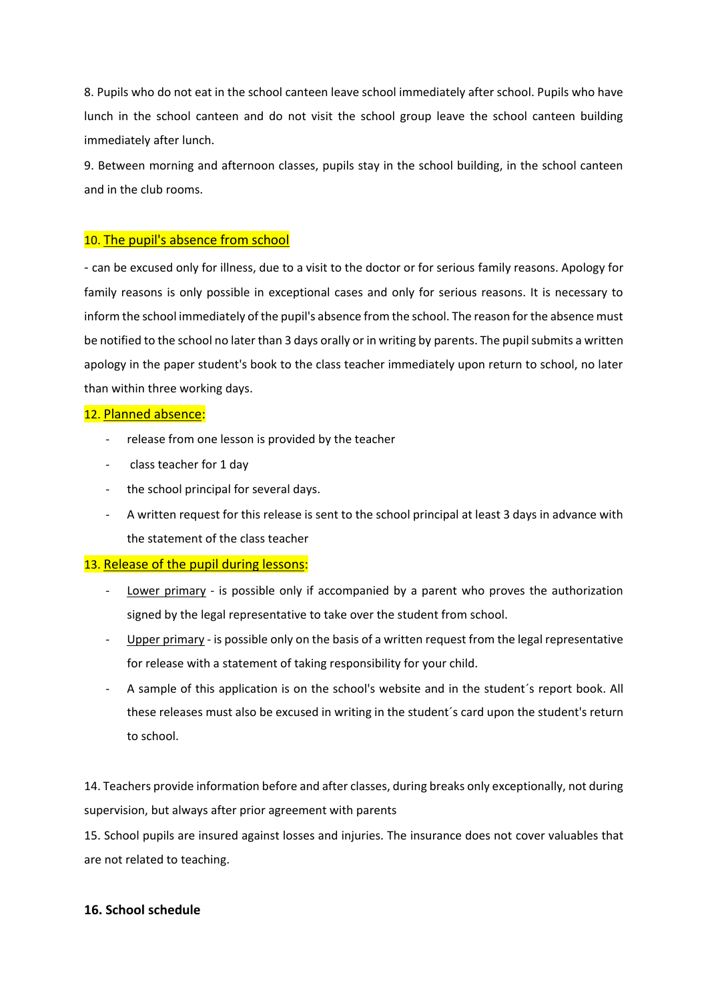8. Pupils who do not eat in the school canteen leave school immediately after school. Pupils who have lunch in the school canteen and do not visit the school group leave the school canteen building immediately after lunch.

9. Between morning and afternoon classes, pupils stay in the school building, in the school canteen and in the club rooms.

#### 10. The pupil's absence from school

- can be excused only for illness, due to a visit to the doctor or for serious family reasons. Apology for family reasons is only possible in exceptional cases and only for serious reasons. It is necessary to inform the school immediately of the pupil's absence from the school. The reason for the absence must be notified to the school no later than 3 days orally or in writing by parents. The pupil submits a written apology in the paper student's book to the class teacher immediately upon return to school, no later than within three working days.

#### 12. Planned absence:

- release from one lesson is provided by the teacher
- class teacher for 1 day
- the school principal for several days.
- A written request for this release is sent to the school principal at least 3 days in advance with the statement of the class teacher

#### 13. Release of the pupil during lessons:

- Lower primary is possible only if accompanied by a parent who proves the authorization signed by the legal representative to take over the student from school.
- Upper primary is possible only on the basis of a written request from the legal representative for release with a statement of taking responsibility for your child.
- A sample of this application is on the school's website and in the student's report book. All these releases must also be excused in writing in the student´s card upon the student's return to school.

14. Teachers provide information before and after classes, during breaks only exceptionally, not during supervision, but always after prior agreement with parents

15. School pupils are insured against losses and injuries. The insurance does not cover valuables that are not related to teaching.

#### **16. School schedule**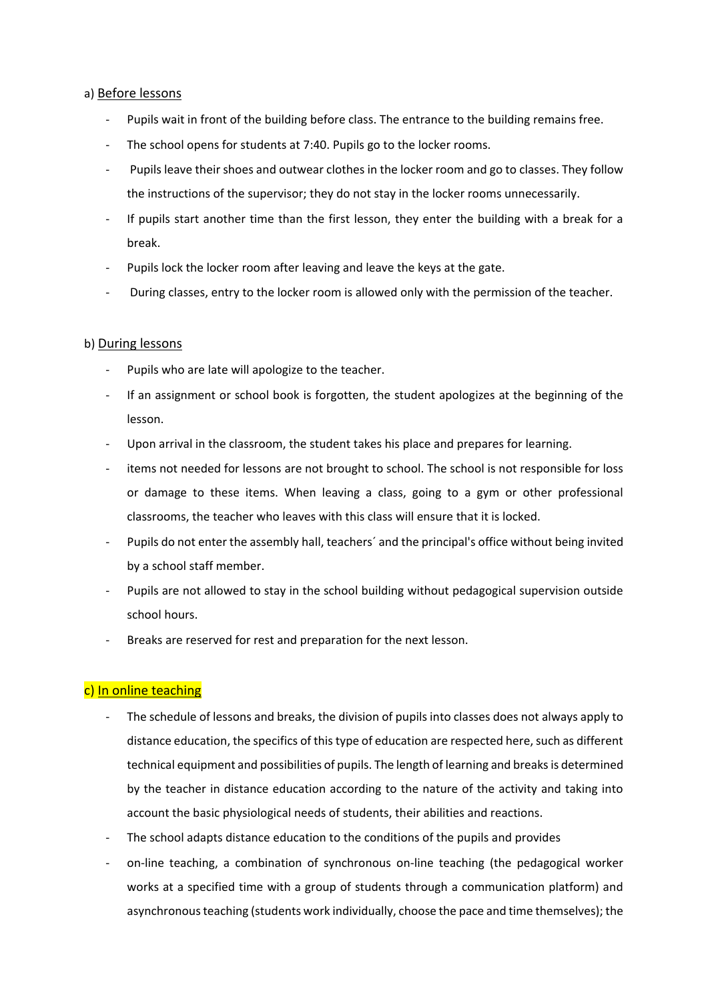#### a) Before lessons

- Pupils wait in front of the building before class. The entrance to the building remains free.
- The school opens for students at 7:40. Pupils go to the locker rooms.
- Pupils leave their shoes and outwear clothes in the locker room and go to classes. They follow the instructions of the supervisor; they do not stay in the locker rooms unnecessarily.
- If pupils start another time than the first lesson, they enter the building with a break for a break.
- Pupils lock the locker room after leaving and leave the keys at the gate.
- During classes, entry to the locker room is allowed only with the permission of the teacher.

## b) During lessons

- Pupils who are late will apologize to the teacher.
- If an assignment or school book is forgotten, the student apologizes at the beginning of the lesson.
- Upon arrival in the classroom, the student takes his place and prepares for learning.
- items not needed for lessons are not brought to school. The school is not responsible for loss or damage to these items. When leaving a class, going to a gym or other professional classrooms, the teacher who leaves with this class will ensure that it is locked.
- Pupils do not enter the assembly hall, teachers´ and the principal's office without being invited by a school staff member.
- Pupils are not allowed to stay in the school building without pedagogical supervision outside school hours.
- Breaks are reserved for rest and preparation for the next lesson.

# c) In online teaching

- The schedule of lessons and breaks, the division of pupils into classes does not always apply to distance education, the specifics of this type of education are respected here, such as different technical equipment and possibilities of pupils. The length of learning and breaks is determined by the teacher in distance education according to the nature of the activity and taking into account the basic physiological needs of students, their abilities and reactions.
- The school adapts distance education to the conditions of the pupils and provides
- on-line teaching, a combination of synchronous on-line teaching (the pedagogical worker works at a specified time with a group of students through a communication platform) and asynchronous teaching (students work individually, choose the pace and time themselves); the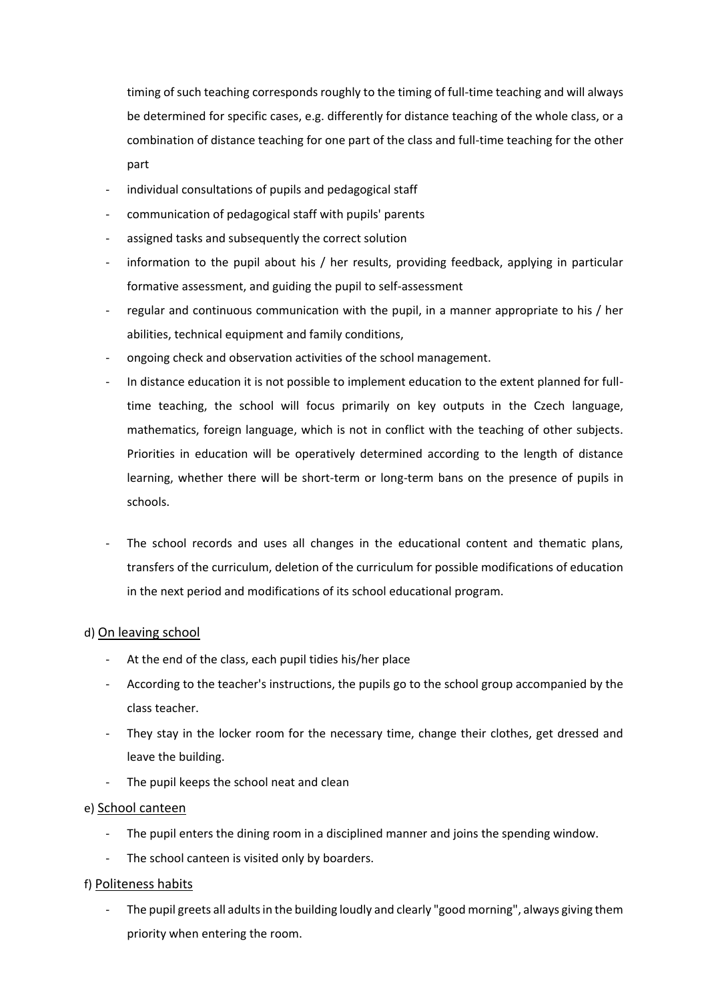timing of such teaching corresponds roughly to the timing of full-time teaching and will always be determined for specific cases, e.g. differently for distance teaching of the whole class, or a combination of distance teaching for one part of the class and full-time teaching for the other part

- individual consultations of pupils and pedagogical staff
- communication of pedagogical staff with pupils' parents
- assigned tasks and subsequently the correct solution
- information to the pupil about his / her results, providing feedback, applying in particular formative assessment, and guiding the pupil to self-assessment
- regular and continuous communication with the pupil, in a manner appropriate to his / her abilities, technical equipment and family conditions,
- ongoing check and observation activities of the school management.
- In distance education it is not possible to implement education to the extent planned for fulltime teaching, the school will focus primarily on key outputs in the Czech language, mathematics, foreign language, which is not in conflict with the teaching of other subjects. Priorities in education will be operatively determined according to the length of distance learning, whether there will be short-term or long-term bans on the presence of pupils in schools.
- The school records and uses all changes in the educational content and thematic plans, transfers of the curriculum, deletion of the curriculum for possible modifications of education in the next period and modifications of its school educational program.

#### d) On leaving school

- At the end of the class, each pupil tidies his/her place
- According to the teacher's instructions, the pupils go to the school group accompanied by the class teacher.
- They stay in the locker room for the necessary time, change their clothes, get dressed and leave the building.
- The pupil keeps the school neat and clean

#### e) School canteen

- The pupil enters the dining room in a disciplined manner and joins the spending window.
- The school canteen is visited only by boarders.

#### f) Politeness habits

- The pupil greets all adults in the building loudly and clearly "good morning", always giving them priority when entering the room.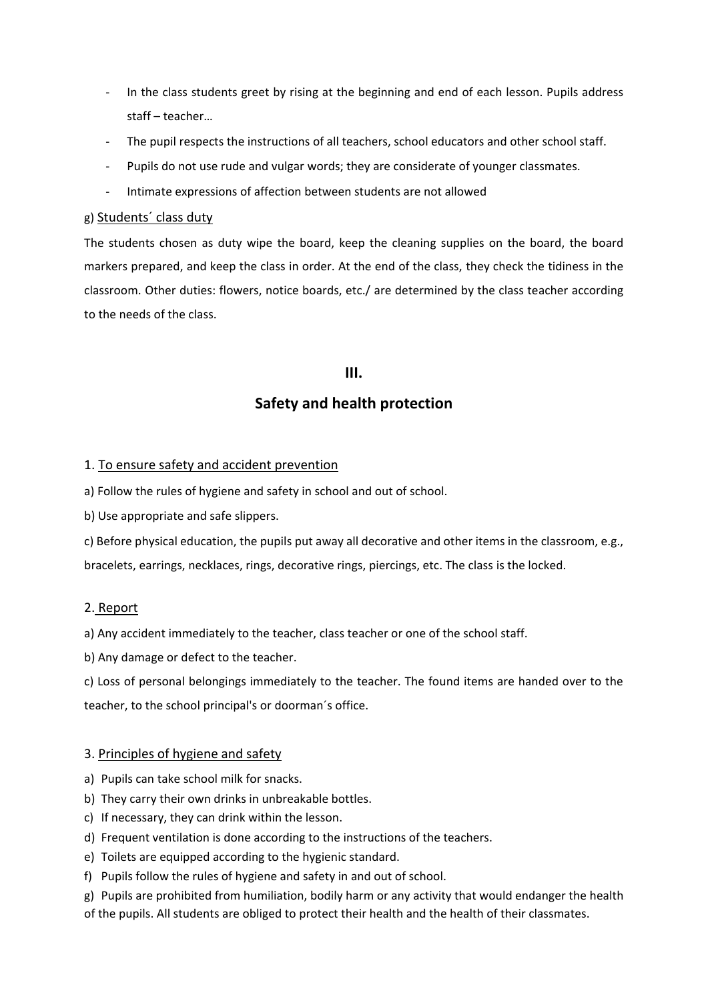- In the class students greet by rising at the beginning and end of each lesson. Pupils address staff – teacher…
- The pupil respects the instructions of all teachers, school educators and other school staff.
- Pupils do not use rude and vulgar words; they are considerate of younger classmates.
- Intimate expressions of affection between students are not allowed

#### g) Students´ class duty

The students chosen as duty wipe the board, keep the cleaning supplies on the board, the board markers prepared, and keep the class in order. At the end of the class, they check the tidiness in the classroom. Other duties: flowers, notice boards, etc./ are determined by the class teacher according to the needs of the class.

#### **III.**

## **Safety and health protection**

#### 1. To ensure safety and accident prevention

a) Follow the rules of hygiene and safety in school and out of school.

b) Use appropriate and safe slippers.

c) Before physical education, the pupils put away all decorative and other items in the classroom, e.g., bracelets, earrings, necklaces, rings, decorative rings, piercings, etc. The class is the locked.

#### 2. Report

a) Any accident immediately to the teacher, class teacher or one of the school staff.

b) Any damage or defect to the teacher.

c) Loss of personal belongings immediately to the teacher. The found items are handed over to the teacher, to the school principal's or doorman´s office.

#### 3. Principles of hygiene and safety

- a) Pupils can take school milk for snacks.
- b) They carry their own drinks in unbreakable bottles.
- c) If necessary, they can drink within the lesson.
- d) Frequent ventilation is done according to the instructions of the teachers.
- e) Toilets are equipped according to the hygienic standard.
- f) Pupils follow the rules of hygiene and safety in and out of school.
- g) Pupils are prohibited from humiliation, bodily harm or any activity that would endanger the health of the pupils. All students are obliged to protect their health and the health of their classmates.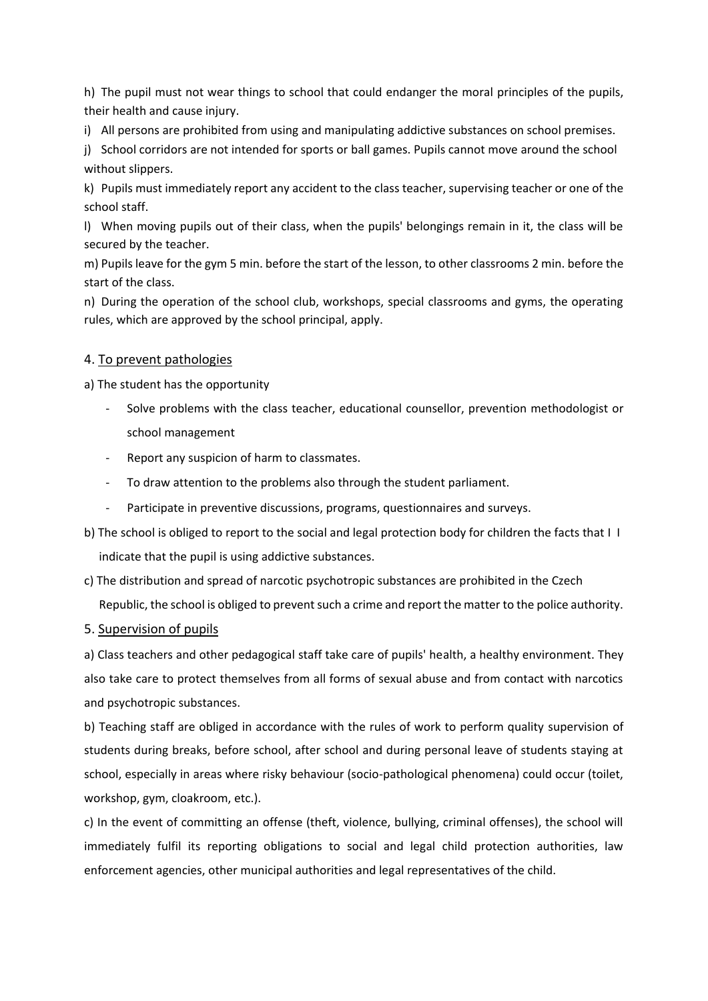h) The pupil must not wear things to school that could endanger the moral principles of the pupils, their health and cause injury.

i) All persons are prohibited from using and manipulating addictive substances on school premises.

j) School corridors are not intended for sports or ball games. Pupils cannot move around the school without slippers.

k) Pupils must immediately report any accident to the class teacher, supervising teacher or one of the school staff.

l) When moving pupils out of their class, when the pupils' belongings remain in it, the class will be secured by the teacher.

m) Pupils leave for the gym 5 min. before the start of the lesson, to other classrooms 2 min. before the start of the class.

n) During the operation of the school club, workshops, special classrooms and gyms, the operating rules, which are approved by the school principal, apply.

#### 4. To prevent pathologies

a) The student has the opportunity

- Solve problems with the class teacher, educational counsellor, prevention methodologist or school management
- Report any suspicion of harm to classmates.
- To draw attention to the problems also through the student parliament.
- Participate in preventive discussions, programs, questionnaires and surveys.
- b) The school is obliged to report to the social and legal protection body for children the facts that I I indicate that the pupil is using addictive substances.
- c) The distribution and spread of narcotic psychotropic substances are prohibited in the Czech

Republic, the school is obliged to prevent such a crime and report the matter to the police authority.

#### 5. Supervision of pupils

a) Class teachers and other pedagogical staff take care of pupils' health, a healthy environment. They also take care to protect themselves from all forms of sexual abuse and from contact with narcotics and psychotropic substances.

b) Teaching staff are obliged in accordance with the rules of work to perform quality supervision of students during breaks, before school, after school and during personal leave of students staying at school, especially in areas where risky behaviour (socio-pathological phenomena) could occur (toilet, workshop, gym, cloakroom, etc.).

c) In the event of committing an offense (theft, violence, bullying, criminal offenses), the school will immediately fulfil its reporting obligations to social and legal child protection authorities, law enforcement agencies, other municipal authorities and legal representatives of the child.